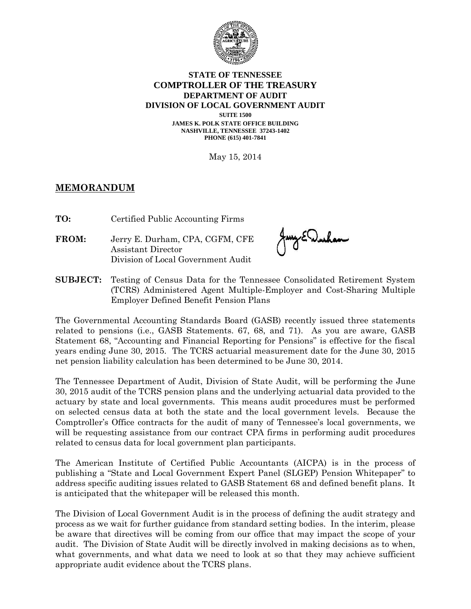

## **STATE OF TENNESSEE COMPTROLLER OF THE TREASURY DEPARTMENT OF AUDIT DIVISION OF LOCAL GOVERNMENT AUDIT**

**SUITE 1500 JAMES K. POLK STATE OFFICE BUILDING NASHVILLE, TENNESSEE 37243-1402 PHONE (615) 401-7841**

May 15, 2014

## **MEMORANDUM**

**TO:** Certified Public Accounting Firms

**FROM:** Jerry E. Durham, CPA, CGFM, CFE Assistant Director Division of Local Government Audit

Jany En Jurham

**SUBJECT:** Testing of Census Data for the Tennessee Consolidated Retirement System (TCRS) Administered Agent Multiple-Employer and Cost-Sharing Multiple Employer Defined Benefit Pension Plans

The Governmental Accounting Standards Board (GASB) recently issued three statements related to pensions (i.e., GASB Statements. 67, 68, and 71). As you are aware, GASB Statement 68, "Accounting and Financial Reporting for Pensions" is effective for the fiscal years ending June 30, 2015. The TCRS actuarial measurement date for the June 30, 2015 net pension liability calculation has been determined to be June 30, 2014.

The Tennessee Department of Audit, Division of State Audit, will be performing the June 30, 2015 audit of the TCRS pension plans and the underlying actuarial data provided to the actuary by state and local governments. This means audit procedures must be performed on selected census data at both the state and the local government levels. Because the Comptroller's Office contracts for the audit of many of Tennessee's local governments, we will be requesting assistance from our contract CPA firms in performing audit procedures related to census data for local government plan participants.

The American Institute of Certified Public Accountants (AICPA) is in the process of publishing a "State and Local Government Expert Panel (SLGEP) Pension Whitepaper" to address specific auditing issues related to GASB Statement 68 and defined benefit plans. It is anticipated that the whitepaper will be released this month.

The Division of Local Government Audit is in the process of defining the audit strategy and process as we wait for further guidance from standard setting bodies. In the interim, please be aware that directives will be coming from our office that may impact the scope of your audit. The Division of State Audit will be directly involved in making decisions as to when, what governments, and what data we need to look at so that they may achieve sufficient appropriate audit evidence about the TCRS plans.